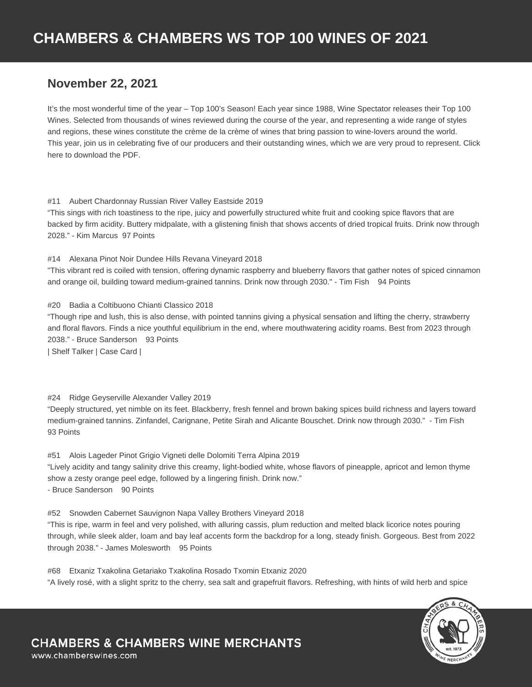## **November 22, 2021**

It's the most wonderful time of the year – Top 100's Season! Each year since 1988, Wine Spectator releases their Top 100 Wines. Selected from thousands of wines reviewed during the course of the year, and representing a wide range of styles and regions, these wines constitute the crème de la crème of wines that bring passion to wine-lovers around the world. This year, join us in celebrating five of our producers and their outstanding wines, which we are very proud to represent. Click here to download the PDF.

#### #11 Aubert Chardonnay Russian River Valley Eastside 2019

"This sings with rich toastiness to the ripe, juicy and powerfully structured white fruit and cooking spice flavors that are backed by firm acidity. Buttery midpalate, with a glistening finish that shows accents of dried tropical fruits. Drink now through 2028." - Kim Marcus 97 Points

#14 Alexana Pinot Noir Dundee Hills Revana Vineyard 2018

"This vibrant red is coiled with tension, offering dynamic raspberry and blueberry flavors that gather notes of spiced cinnamon and orange oil, building toward medium-grained tannins. Drink now through 2030." - Tim Fish 94 Points

#### #20 Badia a Coltibuono Chianti Classico 2018

"Though ripe and lush, this is also dense, with pointed tannins giving a physical sensation and lifting the cherry, strawberry and floral flavors. Finds a nice youthful equilibrium in the end, where mouthwatering acidity roams. Best from 2023 through 2038." - Bruce Sanderson 93 Points

| Shelf Talker | Case Card |

### #24 Ridge Geyserville Alexander Valley 2019

"Deeply structured, yet nimble on its feet. Blackberry, fresh fennel and brown baking spices build richness and layers toward medium-grained tannins. Zinfandel, Carignane, Petite Sirah and Alicante Bouschet. Drink now through 2030." - Tim Fish 93 Points

#51 Alois Lageder Pinot Grigio Vigneti delle Dolomiti Terra Alpina 2019 "Lively acidity and tangy salinity drive this creamy, light-bodied white, whose flavors of pineapple, apricot and lemon thyme show a zesty orange peel edge, followed by a lingering finish. Drink now." - Bruce Sanderson 90 Points

#52 Snowden Cabernet Sauvignon Napa Valley Brothers Vineyard 2018

"This is ripe, warm in feel and very polished, with alluring cassis, plum reduction and melted black licorice notes pouring through, while sleek alder, loam and bay leaf accents form the backdrop for a long, steady finish. Gorgeous. Best from 2022 through 2038." - James Molesworth 95 Points

#68 Etxaniz Txakolina Getariako Txakolina Rosado Txomin Etxaniz 2020 "A lively rosé, with a slight spritz to the cherry, sea salt and grapefruit flavors. Refreshing, with hints of wild herb and spice



# **CHAMBERS & CHAMBERS WINE MERCHANTS**

www.chamberswines.com